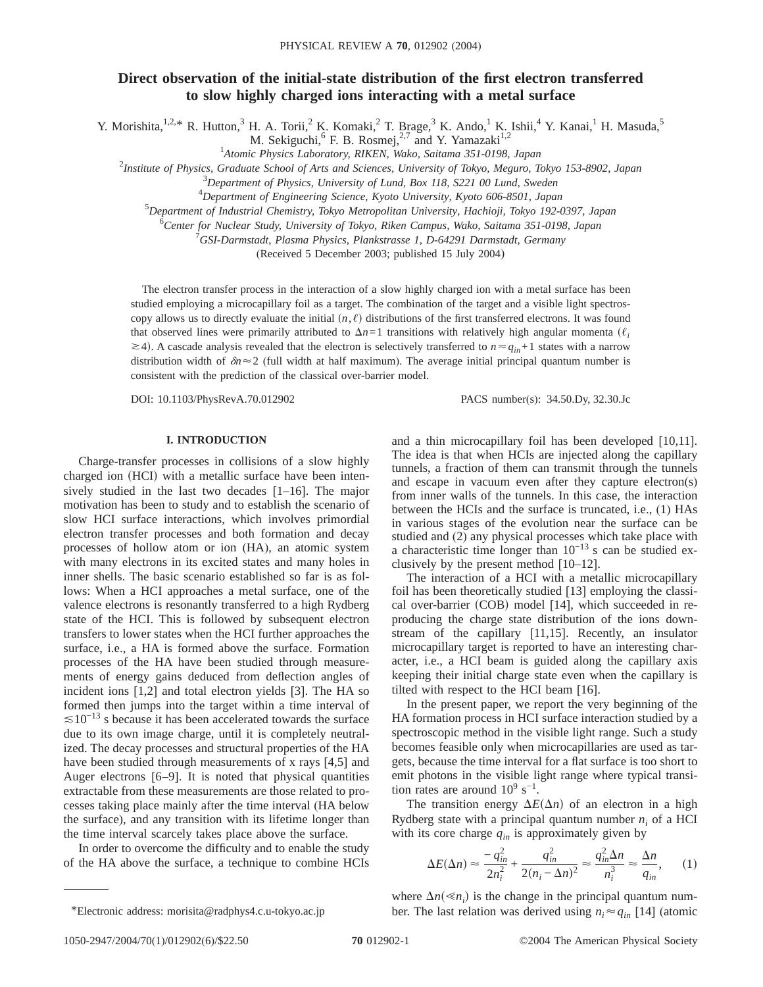# **Direct observation of the initial-state distribution of the first electron transferred to slow highly charged ions interacting with a metal surface**

Y. Morishita,<sup>1,2,\*</sup> R. Hutton,<sup>3</sup> H. A. Torii,<sup>2</sup> K. Komaki,<sup>2</sup> T. Brage,<sup>3</sup> K. Ando,<sup>1</sup> K. Ishii,<sup>4</sup> Y. Kanai,<sup>1</sup> H. Masuda,<sup>5</sup>

M. Sekiguchi, <sup>6</sup> F. B. Rosmej, <sup>2,7</sup> and Y. Yamazaki<sup>1,2</sup>

1 *Atomic Physics Laboratory, RIKEN, Wako, Saitama 351-0198, Japan*

2 *Institute of Physics, Graduate School of Arts and Sciences, University of Tokyo, Meguro, Tokyo 153-8902, Japan*

3 *Department of Physics, University of Lund, Box 118, S221 00 Lund, Sweden*

4 *Department of Engineering Science, Kyoto University, Kyoto 606-8501, Japan*

5 *Department of Industrial Chemistry, Tokyo Metropolitan University, Hachioji, Tokyo 192-0397, Japan*

6 *Center for Nuclear Study, University of Tokyo, Riken Campus, Wako, Saitama 351-0198, Japan*

7 *GSI-Darmstadt, Plasma Physics, Plankstrasse 1, D-64291 Darmstadt, Germany*

(Received 5 December 2003; published 15 July 2004)

The electron transfer process in the interaction of a slow highly charged ion with a metal surface has been studied employing a microcapillary foil as a target. The combination of the target and a visible light spectroscopy allows us to directly evaluate the initial  $(n,\ell)$  distributions of the first transferred electrons. It was found that observed lines were primarily attributed to  $\Delta n = 1$  transitions with relatively high angular momenta ( $\ell_i$ )  $\geq$ 4). A cascade analysis revealed that the electron is selectively transferred to  $n \approx q_{in}+1$  states with a narrow distribution width of  $\delta n \approx 2$  (full width at half maximum). The average initial principal quantum number is consistent with the prediction of the classical over-barrier model.

DOI: 10.1103/PhysRevA.70.012902 PACS number(s): 34.50.Dy, 32.30.Jc

### **I. INTRODUCTION**

Charge-transfer processes in collisions of a slow highly charged ion (HCI) with a metallic surface have been intensively studied in the last two decades [1–16]. The major motivation has been to study and to establish the scenario of slow HCI surface interactions, which involves primordial electron transfer processes and both formation and decay processes of hollow atom or ion (HA), an atomic system with many electrons in its excited states and many holes in inner shells. The basic scenario established so far is as follows: When a HCI approaches a metal surface, one of the valence electrons is resonantly transferred to a high Rydberg state of the HCI. This is followed by subsequent electron transfers to lower states when the HCI further approaches the surface, i.e., a HA is formed above the surface. Formation processes of the HA have been studied through measurements of energy gains deduced from deflection angles of incident ions [1,2] and total electron yields [3]. The HA so formed then jumps into the target within a time interval of &10−13 s because it has been accelerated towards the surface due to its own image charge, until it is completely neutralized. The decay processes and structural properties of the HA have been studied through measurements of x rays [4,5] and Auger electrons [6–9]. It is noted that physical quantities extractable from these measurements are those related to processes taking place mainly after the time interval (HA below the surface), and any transition with its lifetime longer than the time interval scarcely takes place above the surface.

In order to overcome the difficulty and to enable the study of the HA above the surface, a technique to combine HCIs and a thin microcapillary foil has been developed [10,11]. The idea is that when HCIs are injected along the capillary tunnels, a fraction of them can transmit through the tunnels and escape in vacuum even after they capture electron(s) from inner walls of the tunnels. In this case, the interaction between the HCIs and the surface is truncated, i.e., (1) HAs in various stages of the evolution near the surface can be studied and (2) any physical processes which take place with a characteristic time longer than 10−13 s can be studied exclusively by the present method [10–12].

The interaction of a HCI with a metallic microcapillary foil has been theoretically studied [13] employing the classical over-barrier (COB) model [14], which succeeded in reproducing the charge state distribution of the ions downstream of the capillary [11,15]. Recently, an insulator microcapillary target is reported to have an interesting character, i.e., a HCI beam is guided along the capillary axis keeping their initial charge state even when the capillary is tilted with respect to the HCI beam [16].

In the present paper, we report the very beginning of the HA formation process in HCI surface interaction studied by a spectroscopic method in the visible light range. Such a study becomes feasible only when microcapillaries are used as targets, because the time interval for a flat surface is too short to emit photons in the visible light range where typical transition rates are around  $10^9$  s<sup>-1</sup>.

The transition energy  $\Delta E(\Delta n)$  of an electron in a high Rydberg state with a principal quantum number  $n_i$  of a HCI with its core charge  $q_{in}$  is approximately given by

$$
\Delta E(\Delta n) \approx \frac{-q_{in}^2}{2n_i^2} + \frac{q_{in}^2}{2(n_i - \Delta n)^2} \approx \frac{q_{in}^2 \Delta n}{n_i^3} \approx \frac{\Delta n}{q_{in}}, \qquad (1)
$$

where  $\Delta n (\le n_i)$  is the change in the principal quantum num-\*Electronic address: morisita@radphys4.c.u-tokyo.ac.jp ber. The last relation was derived using  $n_i \approx q_{in}$  [14] (atomic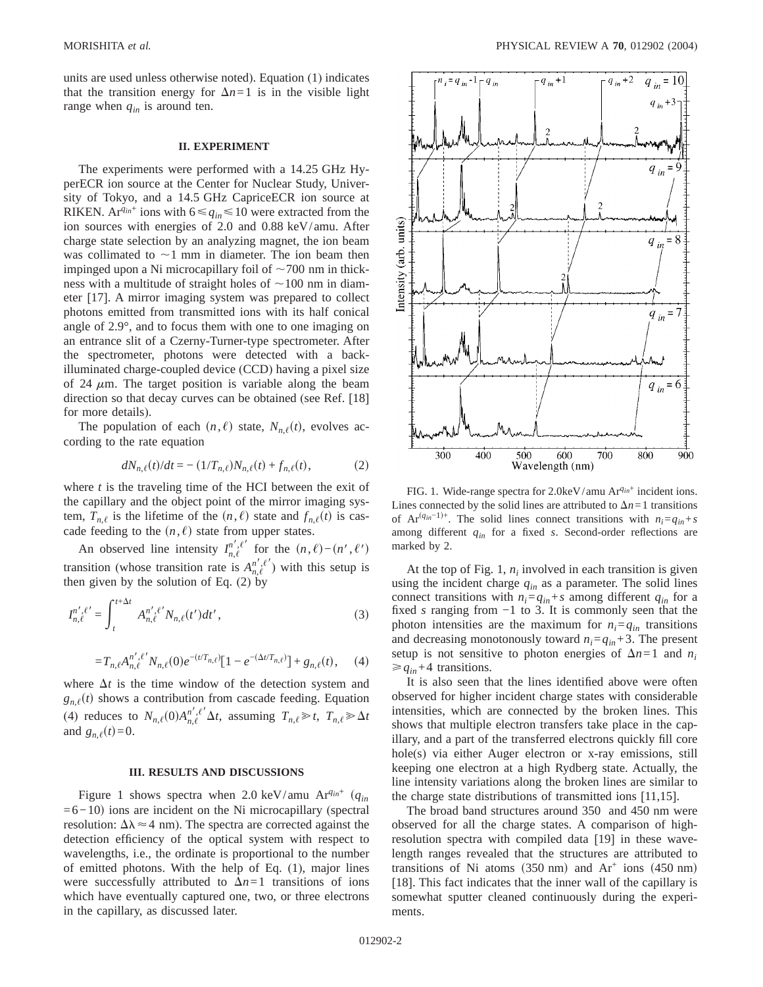units are used unless otherwise noted). Equation (1) indicates that the transition energy for  $\Delta n=1$  is in the visible light range when  $q_{in}$  is around ten.

#### **II. EXPERIMENT**

The experiments were performed with a 14.25 GHz HyperECR ion source at the Center for Nuclear Study, University of Tokyo, and a 14.5 GHz CapriceECR ion source at RIKEN. Ar<sup>q<sub>in</sub>+</sup> ions with  $6 \leq q_{in} \leq 10$  were extracted from the ion sources with energies of 2.0 and 0.88 keV/amu. After charge state selection by an analyzing magnet, the ion beam was collimated to  $\sim$ 1 mm in diameter. The ion beam then impinged upon a Ni microcapillary foil of  $\sim$ 700 nm in thickness with a multitude of straight holes of  $\sim$ 100 nm in diameter [17]. A mirror imaging system was prepared to collect photons emitted from transmitted ions with its half conical angle of 2.9°, and to focus them with one to one imaging on an entrance slit of a Czerny-Turner-type spectrometer. After the spectrometer, photons were detected with a backilluminated charge-coupled device (CCD) having a pixel size of 24  $\mu$ m. The target position is variable along the beam direction so that decay curves can be obtained (see Ref. [18] for more details).

The population of each  $(n, \ell)$  state,  $N_{n,\ell}(t)$ , evolves according to the rate equation

$$
dN_{n,\ell}(t)/dt = -(1/T_{n,\ell})N_{n,\ell}(t) + f_{n,\ell}(t),
$$
 (2)

where *t* is the traveling time of the HCI between the exit of the capillary and the object point of the mirror imaging system,  $T_{n,\ell}$  is the lifetime of the  $(n,\ell)$  state and  $f_{n,\ell}(t)$  is cascade feeding to the  $(n, \ell)$  state from upper states.

An observed line intensity  $I_{n,\ell}^{n',\ell'}$  for the  $(n,\ell)-(n',\ell')$ transition (whose transition rate is  $A_{n,\ell}^{n',\ell'}$ ) with this setup is then given by the solution of Eq. (2) by

$$
I_{n,\ell}^{n',\ell'} = \int_{t}^{t+\Delta t} A_{n,\ell}^{n',\ell'} N_{n,\ell}(t')dt',
$$
\n(3)

$$
=T_{n,\ell}A_{n,\ell}^{n',\ell'}N_{n,\ell}(0)e^{-(t/T_{n,\ell})}[1-e^{-(\Delta t/T_{n,\ell})}]+g_{n,\ell}(t),\quad (4)
$$

where  $\Delta t$  is the time window of the detection system and  $g_{n,\ell}(t)$  shows a contribution from cascade feeding. Equation (4) reduces to  $N_{n,\ell}(0)A_{n,\ell}^{n',\ell'}\Delta t$ , assuming  $T_{n,\ell} \geq t$ ,  $T_{n,\ell} \geq \Delta t$ and  $g_{n,\ell}(t)=0$ .

#### **III. RESULTS AND DISCUSSIONS**

Figure 1 shows spectra when 2.0 keV/amu Ar<sup>q<sub>in</sub>+</sup>  $(q_{in}$  $=6-10$ ) ions are incident on the Ni microcapillary (spectral resolution:  $\Delta\lambda \approx 4$  nm). The spectra are corrected against the detection efficiency of the optical system with respect to wavelengths, i.e., the ordinate is proportional to the number of emitted photons. With the help of Eq. (1), major lines were successfully attributed to  $\Delta n=1$  transitions of ions which have eventually captured one, two, or three electrons in the capillary, as discussed later.



FIG. 1. Wide-range spectra for 2.0keV/amu Ar*qin*<sup>+</sup> incident ions. Lines connected by the solid lines are attributed to  $\Delta n = 1$  transitions of Ar<sup> $(q_{in}-1)+$ </sup>. The solid lines connect transitions with  $n_i=q_{in}+s$ among different *qin* for a fixed *s*. Second-order reflections are marked by 2.

At the top of Fig.  $1, n_i$  involved in each transition is given using the incident charge  $q_{in}$  as a parameter. The solid lines connect transitions with  $n_i = q_{in} + s$  among different  $q_{in}$  for a fixed *s* ranging from −1 to 3. It is commonly seen that the photon intensities are the maximum for  $n_i = q_{in}$  transitions and decreasing monotonously toward  $n_i = q_{in} + 3$ . The present setup is not sensitive to photon energies of  $\Delta n=1$  and  $n_i$  $\geqslant q_{in}+4$  transitions.

It is also seen that the lines identified above were often observed for higher incident charge states with considerable intensities, which are connected by the broken lines. This shows that multiple electron transfers take place in the capillary, and a part of the transferred electrons quickly fill core hole(s) via either Auger electron or x-ray emissions, still keeping one electron at a high Rydberg state. Actually, the line intensity variations along the broken lines are similar to the charge state distributions of transmitted ions [11,15].

The broad band structures around 350 and 450 nm were observed for all the charge states. A comparison of highresolution spectra with compiled data [19] in these wavelength ranges revealed that the structures are attributed to transitions of Ni atoms  $(350 \text{ nm})$  and Ar<sup>+</sup> ions  $(450 \text{ nm})$ [18]. This fact indicates that the inner wall of the capillary is somewhat sputter cleaned continuously during the experiments.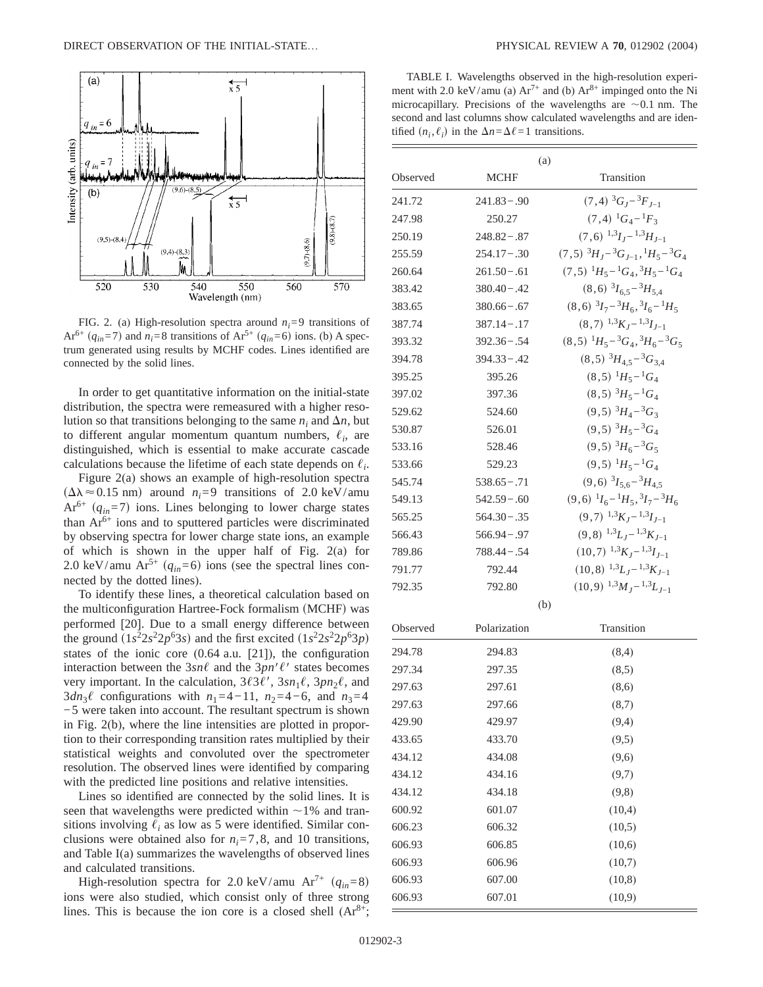

FIG. 2. (a) High-resolution spectra around  $n_i = 9$  transitions of  $Ar^{6+}$  ( $q_{in}$ =7) and  $n_i$ =8 transitions of  $Ar^{5+}$  ( $q_{in}$ =6) ions. (b) A spectrum generated using results by MCHF codes. Lines identified are connected by the solid lines.

In order to get quantitative information on the initial-state distribution, the spectra were remeasured with a higher resolution so that transitions belonging to the same  $n_i$  and  $\Delta n$ , but to different angular momentum quantum numbers,  $\ell_i$ , are distinguished, which is essential to make accurate cascade calculations because the lifetime of each state depends on  $\ell_i$ .

Figure 2(a) shows an example of high-resolution spectra  $(\Delta\lambda \approx 0.15 \text{ nm})$  around  $n_i=9$  transitions of 2.0 keV/amu  $Ar^{6+}$  ( $q_{in}$ =7) ions. Lines belonging to lower charge states than  $Ar^{6+}$  ions and to sputtered particles were discriminated by observing spectra for lower charge state ions, an example of which is shown in the upper half of Fig. 2(a) for 2.0 keV/amu Ar<sup>5+</sup>  $(q_{in}=6)$  ions (see the spectral lines connected by the dotted lines).

To identify these lines, a theoretical calculation based on the multiconfiguration Hartree-Fock formalism (MCHF) was performed [20]. Due to a small energy difference between the ground  $(1s^2 2s^2 2p^6 3s)$  and the first excited  $(1s^2 2s^2 2p^6 3p)$ states of the ionic core (0.64 a.u. [21]), the configuration interaction between the  $3sn\ell$  and the  $3pn'\ell'$  states becomes very important. In the calculation,  $3\ell 3\ell'$ ,  $3sn_1\ell$ ,  $3pn_2\ell$ , and  $3dn_3\ell$  configurations with  $n_1=4-11$ ,  $n_2=4-6$ , and  $n_3=4$ −5 were taken into account. The resultant spectrum is shown in Fig. 2(b), where the line intensities are plotted in proportion to their corresponding transition rates multiplied by their statistical weights and convoluted over the spectrometer resolution. The observed lines were identified by comparing with the predicted line positions and relative intensities.

Lines so identified are connected by the solid lines. It is seen that wavelengths were predicted within  $\sim$ 1% and transitions involving  $\ell_i$  as low as 5 were identified. Similar conclusions were obtained also for  $n_i = 7, 8$ , and 10 transitions, and Table I(a) summarizes the wavelengths of observed lines and calculated transitions.

High-resolution spectra for 2.0 keV/amu Ar<sup>7+</sup>  $(q_{in}=8)$ ions were also studied, which consist only of three strong lines. This is because the ion core is a closed shell  $(Ar^{8+})$ ;

TABLE I. Wavelengths observed in the high-resolution experiment with 2.0 keV/amu (a)  $Ar^{7+}$  and (b)  $Ar^{8+}$  impinged onto the Ni microcapillary. Precisions of the wavelengths are  $\sim 0.1$  nm. The second and last columns show calculated wavelengths and are identified  $(n_i, \ell_i)$  in the  $\Delta n = \Delta \ell = 1$  transitions.

| (a)      |                |                                                               |
|----------|----------------|---------------------------------------------------------------|
| Observed | MCHF           | Transition                                                    |
| 241.72   | $241.83 - .90$ | $(7,4)$ ${}^3G_1-{}^3F_{1-1}$                                 |
| 247.98   | 250.27         | $(7,4)$ ${}^{1}G_{4}$ ${}^{1}F_{3}$                           |
| 250.19   | $248.82 - .87$ | $(7,6)$ $^{1,3}I_J - ^{1,3}H_{J-1}$                           |
| 255.59   | $254.17 - .30$ | $(7,5)$ $^{3}H_{J}$ $^{-3}G_{J-1}$ , $^{1}H_{5}$ $^{-3}G_{4}$ |
| 260.64   | $261.50 - .61$ | $(7,5)$ $^1H_5 - ^1G_4$ , $^3H_5 - ^1G_4$                     |
| 383.42   | $380.40 - .42$ | $(8,6)$ $^{3}I_{6.5} - ^{3}H_{5.4}$                           |
| 383.65   | $380.66 - .67$ | $(8,6)$ $^{3}I_{7}$ $^{-3}H_{6}$ , $^{3}I_{6}$ $^{-1}H_{5}$   |
| 387.74   | $387.14 - .17$ | $(8,7)$ $^{1,3}K_J$ $^{-1,3}I_{J-1}$                          |
| 393.32   | $392.36 - .54$ | $(8,5)$ $^{1}H_{5}$ – $^{3}G_{4}$ , $^{3}H_{6}$ – $^{3}G_{5}$ |
| 394.78   | $394.33 - .42$ | $(8,5)$ ${}^{3}H_{4,5}$ $-{}^{3}G_{3,4}$                      |
| 395.25   | 395.26         | $(8,5)$ $^1H_5 - ^1G_4$                                       |
| 397.02   | 397.36         | $(8,5)$ $^{3}H_{5}$ - $^{1}G_{4}$                             |
| 529.62   | 524.60         | $(9,5)$ $^{3}H_{4}$ $^{3}G_{3}$                               |
| 530.87   | 526.01         | $(9,5)$ $^{3}H_{5}$ $^{-3}G_{4}$                              |
| 533.16   | 528.46         | $(9,5)$ ${}^{3}H_{6}$ $-{}^{3}G_{5}$                          |
| 533.66   | 529.23         | $(9,5)$ $^1H_5 - ^1G_4$                                       |
| 545.74   | $538.65 - .71$ | $(9,6)$ $^{3}I_{5.6}$ $^{-3}H_{4.5}$                          |
| 549.13   | $542.59 - .60$ | $(9,6)$ $^{1}I_{6}$ $^{-1}H_{5}$ , $^{3}I_{7}$ $^{-3}H_{6}$   |
| 565.25   | $564.30 - .35$ | $(9,7)$ $^{1,3}K_J$ $^{-1,3}I_{J-1}$                          |
| 566.43   | $566.94 - .97$ | $(9,8)$ $^{1,3}L_J$ $^{-1,3}K_{J-1}$                          |
| 789.86   | $788.44 - .54$ | $(10,7)$ $^{1,3}K_J - ^{1,3}I_{J-1}$                          |
| 791.77   | 792.44         | $(10,8)$ $^{1,3}L_J$ $^{-1,3}K_{J-1}$                         |
| 792.35   | 792.80         | $(10,9)$ $^{1,3}M_J - ^{1,3}L_{J-1}$                          |
| (b)      |                |                                                               |
| Observed | Polarization   | Transition                                                    |
| 294.78   | 294.83         | (8,4)                                                         |
| 297.34   | 297.35         | (8,5)                                                         |
| 297.63   | 297.61         | (8,6)                                                         |
| 297.63   | 297.66         | (8,7)                                                         |
| 429.90   | 429.97         | (9,4)                                                         |
| 433.65   | 433.70         | (9,5)                                                         |
| 434.12   | 434.08         | (9,6)                                                         |
| 434.12   | 434.16         | (9,7)                                                         |
| 434.12   | 434.18         | (9, 8)                                                        |
| 600.92   | 601.07         | (10,4)                                                        |
| 606.23   | 606.32         | (10,5)                                                        |
| 606.93   | 606.85         | (10,6)                                                        |
| 606.93   | 606.96         | (10,7)                                                        |
| 606.93   | 607.00         | (10, 8)                                                       |
| 606.93   | 607.01         | (10,9)                                                        |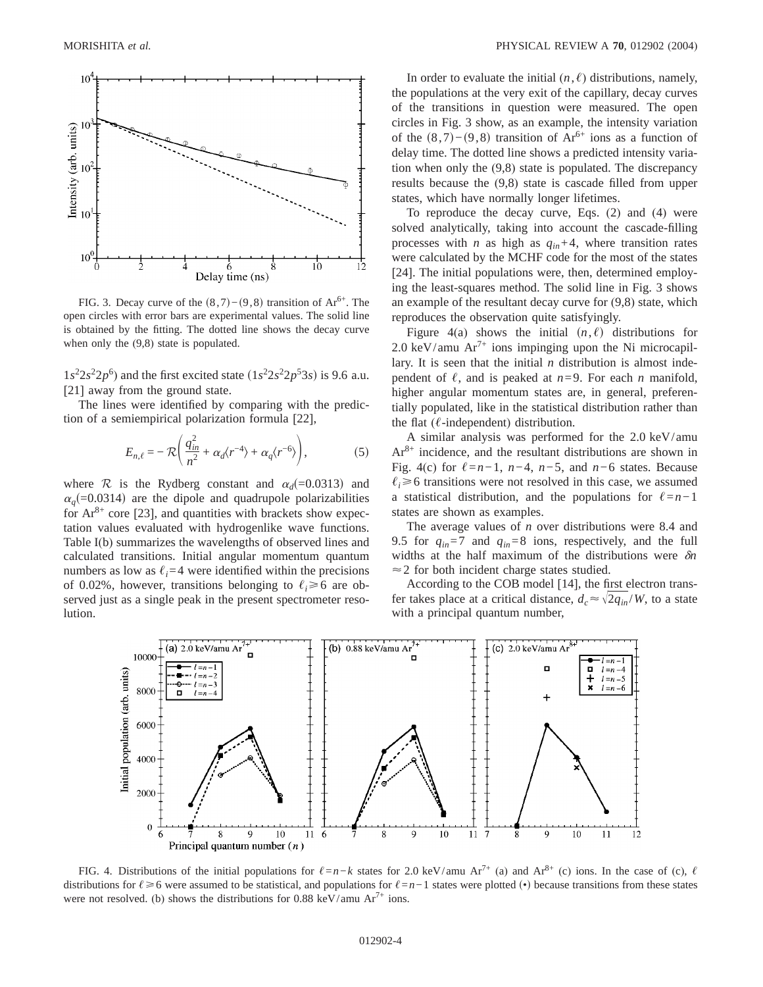

FIG. 3. Decay curve of the  $(8,7)-(9,8)$  transition of Ar<sup>6+</sup>. The open circles with error bars are experimental values. The solid line is obtained by the fitting. The dotted line shows the decay curve when only the (9,8) state is populated.

 $1s^2 2s^2 2p^6$ ) and the first excited state  $(1s^2 2s^2 2p^5 3s)$  is 9.6 a.u. [21] away from the ground state.

The lines were identified by comparing with the prediction of a semiempirical polarization formula [22],

$$
E_{n,\ell} = -\mathcal{R}\bigg(\frac{q_{in}^2}{n^2} + \alpha_d \langle r^{-4} \rangle + \alpha_q \langle r^{-6} \rangle\bigg),\tag{5}
$$

where  $\mathcal R$  is the Rydberg constant and  $\alpha_d$ (=0.0313) and  $\alpha_q$ (=0.0314) are the dipole and quadrupole polarizabilities for  $Ar^{8+}$  core [23], and quantities with brackets show expectation values evaluated with hydrogenlike wave functions. Table I(b) summarizes the wavelengths of observed lines and calculated transitions. Initial angular momentum quantum numbers as low as  $\ell_i=4$  were identified within the precisions of 0.02%, however, transitions belonging to  $\ell_i \geq 6$  are observed just as a single peak in the present spectrometer resolution.

In order to evaluate the initial  $(n, \ell)$  distributions, namely, the populations at the very exit of the capillary, decay curves of the transitions in question were measured. The open circles in Fig. 3 show, as an example, the intensity variation of the  $(8,7)-(9,8)$  transition of Ar<sup>6+</sup> ions as a function of delay time. The dotted line shows a predicted intensity variation when only the (9,8) state is populated. The discrepancy results because the (9,8) state is cascade filled from upper states, which have normally longer lifetimes.

To reproduce the decay curve, Eqs. (2) and (4) were solved analytically, taking into account the cascade-filling processes with *n* as high as  $q_{in}+4$ , where transition rates were calculated by the MCHF code for the most of the states [24]. The initial populations were, then, determined employing the least-squares method. The solid line in Fig. 3 shows an example of the resultant decay curve for (9,8) state, which reproduces the observation quite satisfyingly.

Figure 4(a) shows the initial  $(n, \ell)$  distributions for 2.0 keV/amu  $Ar^{7+}$  ions impinging upon the Ni microcapillary. It is seen that the initial *n* distribution is almost independent of  $\ell$ , and is peaked at  $n=9$ . For each *n* manifold, higher angular momentum states are, in general, preferentially populated, like in the statistical distribution rather than the flat ( $\ell$ -independent) distribution.

A similar analysis was performed for the 2.0 keV/amu  $Ar^{8+}$  incidence, and the resultant distributions are shown in Fig. 4(c) for  $\ell=n-1$ , *n*−4, *n*−5, and *n*−6 states. Because  $\ell_i \geq 6$  transitions were not resolved in this case, we assumed a statistical distribution, and the populations for  $\ell=n-1$ states are shown as examples.

The average values of *n* over distributions were 8.4 and 9.5 for  $q_{in} = 7$  and  $q_{in} = 8$  ions, respectively, and the full widths at the half maximum of the distributions were  $\delta n$  $\approx$  2 for both incident charge states studied.

According to the COB model [14], the first electron transfer takes place at a critical distance,  $d_c \approx \sqrt{2} q_{in} / W$ , to a state with a principal quantum number,



FIG. 4. Distributions of the initial populations for  $\ell = n-k$  states for 2.0 keV/amu Ar<sup>7+</sup> (a) and Ar<sup>8+</sup> (c) ions. In the case of (c),  $\ell$ distributions for  $\ell \ge 6$  were assumed to be statistical, and populations for  $\ell = n-1$  states were plotted (•) because transitions from these states were not resolved. (b) shows the distributions for 0.88 keV/amu  $Ar^{7+}$  ions.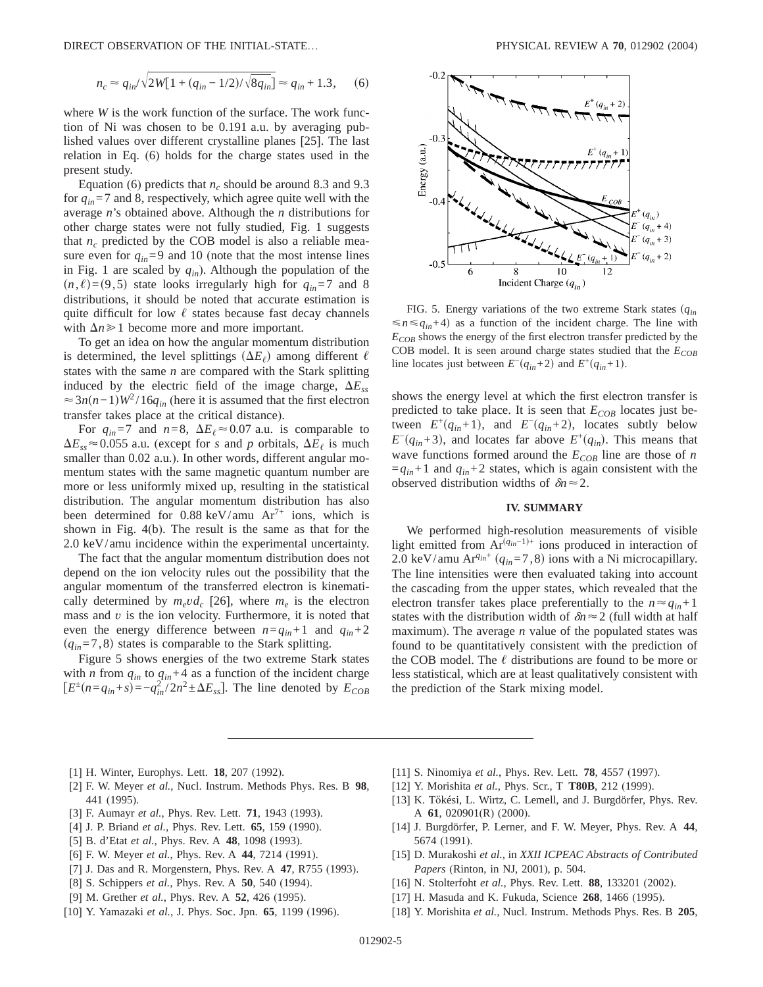DIRECT OBSERVATION OF THE INITIAL-STATE… PHYSICAL REVIEW A **70**, 012902 (2004)

$$
n_c \approx q_{in}/\sqrt{2W[1 + (q_{in} - 1/2)/\sqrt{8q_{in}}]} \approx q_{in} + 1.3, \quad (6)
$$

where *W* is the work function of the surface. The work function of Ni was chosen to be 0.191 a.u. by averaging published values over different crystalline planes [25]. The last relation in Eq. (6) holds for the charge states used in the present study.

Equation (6) predicts that  $n_c$  should be around 8.3 and 9.3 for  $q_{in}$ =7 and 8, respectively, which agree quite well with the average *n*'s obtained above. Although the *n* distributions for other charge states were not fully studied, Fig. 1 suggests that  $n_c$  predicted by the COB model is also a reliable measure even for  $q_{in}=9$  and 10 (note that the most intense lines in Fig. 1 are scaled by  $q_{in}$ ). Although the population of the  $(n, \ell) = (9, 5)$  state looks irregularly high for  $q_{in} = 7$  and 8 distributions, it should be noted that accurate estimation is quite difficult for low  $\ell$  states because fast decay channels with  $\Delta n \geq 1$  become more and more important.

To get an idea on how the angular momentum distribution is determined, the level splittings  $(\Delta E_\ell)$  among different  $\ell$ states with the same *n* are compared with the Stark splitting induced by the electric field of the image charge,  $\Delta E_{ss}$  $\approx$ 3*n*(*n*−1)*W*<sup>2</sup>/16*q<sub>in</sub>* (here it is assumed that the first electron transfer takes place at the critical distance).

For  $q_{in}=7$  and  $n=8$ ,  $\Delta E_{\ell} \approx 0.07$  a.u. is comparable to  $\Delta E_{ss} \approx 0.055$  a.u. (except for *s* and *p* orbitals,  $\Delta E_{\ell}$  is much smaller than 0.02 a.u.). In other words, different angular momentum states with the same magnetic quantum number are more or less uniformly mixed up, resulting in the statistical distribution. The angular momentum distribution has also been determined for 0.88 keV/amu  $Ar^{7+}$  ions, which is shown in Fig. 4(b). The result is the same as that for the 2.0 keV/amu incidence within the experimental uncertainty.

The fact that the angular momentum distribution does not depend on the ion velocity rules out the possibility that the angular momentum of the transferred electron is kinematically determined by  $m_e v d_e$  [26], where  $m_e$  is the electron mass and  $v$  is the ion velocity. Furthermore, it is noted that even the energy difference between  $n=q_{in}+1$  and  $q_{in}+2$  $(q_{in}=7,8)$  states is comparable to the Stark splitting.

Figure 5 shows energies of the two extreme Stark states with *n* from  $q_{in}$  to  $q_{in}$ +4 as a function of the incident charge  $E^{\pm}(n=q_{in}+s)=-q_{in}^{2}/2n^{2}\pm\Delta E_{ss}$ . The line denoted by  $E_{COB}$ 



FIG. 5. Energy variations of the two extreme Stark states  $(q_{in}$  $\leq n \leq q_{in}+4$  as a function of the incident charge. The line with  $E_{COB}$  shows the energy of the first electron transfer predicted by the COB model. It is seen around charge states studied that the  $E_{COB}$ line locates just between  $E^{-}(q_{in}+2)$  and  $E^{+}(q_{in}+1)$ .

shows the energy level at which the first electron transfer is predicted to take place. It is seen that  $E_{COB}$  locates just between  $E^+(q_{in}+1)$ , and  $E^-(q_{in}+2)$ , locates subtly below  $E^{-}(q_{in}+3)$ , and locates far above  $E^{+}(q_{in})$ . This means that wave functions formed around the  $E_{COB}$  line are those of *n*  $=q_{in}+1$  and  $q_{in}+2$  states, which is again consistent with the observed distribution widths of  $\delta n \approx 2$ .

## **IV. SUMMARY**

We performed high-resolution measurements of visible light emitted from Ar<sup>*q<sub>in</sub>*−1)+</sup> ions produced in interaction of 2.0 keV/amu Ar<sup>q<sub>in</sub>+ ( $q_{in}$ =7,8) ions with a Ni microcapillary.</sup> The line intensities were then evaluated taking into account the cascading from the upper states, which revealed that the electron transfer takes place preferentially to the  $n \approx q_{in} + 1$ states with the distribution width of  $\delta n \approx 2$  (full width at half maximum). The average *n* value of the populated states was found to be quantitatively consistent with the prediction of the COB model. The  $\ell$  distributions are found to be more or less statistical, which are at least qualitatively consistent with the prediction of the Stark mixing model.

- [1] H. Winter, Europhys. Lett. **18**, 207 (1992).
- [2] F. W. Meyer *et al.*, Nucl. Instrum. Methods Phys. Res. B **98**, 441 (1995).
- [3] F. Aumayr *et al.*, Phys. Rev. Lett. **71**, 1943 (1993).
- [4] J. P. Briand *et al.*, Phys. Rev. Lett. **65**, 159 (1990).
- [5] B. d'Etat *et al.*, Phys. Rev. A **48**, 1098 (1993).
- [6] F. W. Meyer *et al.*, Phys. Rev. A **44**, 7214 (1991).
- [7] J. Das and R. Morgenstern, Phys. Rev. A **47**, R755 (1993).
- [8] S. Schippers *et al.*, Phys. Rev. A **50**, 540 (1994).
- [9] M. Grether *et al.*, Phys. Rev. A **52**, 426 (1995).
- [10] Y. Yamazaki *et al.*, J. Phys. Soc. Jpn. **65**, 1199 (1996).
- [11] S. Ninomiya *et al.*, Phys. Rev. Lett. **78**, 4557 (1997).
- [12] Y. Morishita *et al.*, Phys. Scr., T **T80B**, 212 (1999).
- [13] K. Tőkési, L. Wirtz, C. Lemell, and J. Burgdörfer, Phys. Rev. A **61**, 020901(R) (2000).
- [14] J. Burgdörfer, P. Lerner, and F. W. Meyer, Phys. Rev. A **44**, 5674 (1991).
- [15] D. Murakoshi *et al.*, in *XXII ICPEAC Abstracts of Contributed Papers* (Rinton, in NJ, 2001), p. 504.
- [16] N. Stolterfoht *et al.*, Phys. Rev. Lett. **88**, 133201 (2002).
- [17] H. Masuda and K. Fukuda, Science **268**, 1466 (1995).
- [18] Y. Morishita *et al.*, Nucl. Instrum. Methods Phys. Res. B **205**,